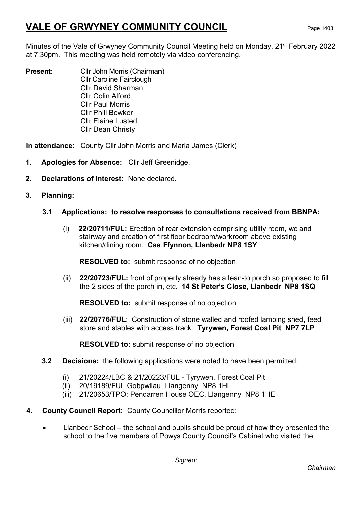# VALE OF GRWYNEY COMMUNITY COUNCIL Page 1403

Minutes of the Vale of Grwyney Community Council Meeting held on Monday, 21<sup>st</sup> February 2022 at 7:30pm. This meeting was held remotely via video conferencing.

**Present:** Cllr John Morris (Chairman) Cllr Caroline Fairclough Cllr David Sharman Cllr Colin Alford Cllr Paul Morris Cllr Phill Bowker Cllr Elaine Lusted Cllr Dean Christy

In attendance: County Cllr John Morris and Maria James (Clerk)

- 1. Apologies for Absence: Cllr Jeff Greenidge.
- 2. Declarations of Interest: None declared.
- 3. Planning:

### 3.1 Applications: to resolve responses to consultations received from BBNPA:

(i) 22/20711/FUL: Erection of rear extension comprising utility room, wc and stairway and creation of first floor bedroom/workroom above existing kitchen/dining room. Cae Ffynnon, Llanbedr NP8 1SY

RESOLVED to: submit response of no objection

(ii) 22/20723/FUL: front of property already has a lean-to porch so proposed to fill the 2 sides of the porch in, etc. 14 St Peter's Close, Llanbedr NP8 1SQ

RESOLVED to: submit response of no objection

(iii) 22/20776/FUL: Construction of stone walled and roofed lambing shed, feed store and stables with access track. Tyrywen, Forest Coal Pit NP7 7LP

RESOLVED to: submit response of no objection

- 3.2 Decisions: the following applications were noted to have been permitted:
	- (i) 21/20224/LBC & 21/20223/FUL Tyrywen, Forest Coal Pit
	- (ii) 20/19189/FUL Gobpwllau, Llangenny NP8 1HL
	- (iii) 21/20653/TPO: Pendarren House OEC, Llangenny NP8 1HE
- 4. County Council Report: County Councillor Morris reported:
	- Llanbedr School the school and pupils should be proud of how they presented the school to the five members of Powys County Council's Cabinet who visited the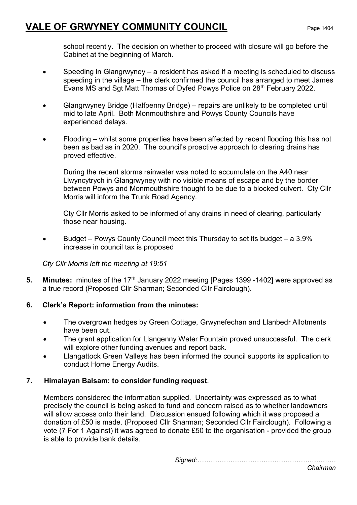## VALE OF GRWYNEY COMMUNITY COUNCIL Page 1404

school recently. The decision on whether to proceed with closure will go before the Cabinet at the beginning of March.

- Speeding in Glangrwyney a resident has asked if a meeting is scheduled to discuss speeding in the village – the clerk confirmed the council has arranged to meet James Evans MS and Sgt Matt Thomas of Dyfed Powys Police on 28<sup>th</sup> February 2022.
- Glangrwyney Bridge (Halfpenny Bridge) repairs are unlikely to be completed until mid to late April. Both Monmouthshire and Powys County Councils have experienced delays.
- Flooding whilst some properties have been affected by recent flooding this has not been as bad as in 2020. The council's proactive approach to clearing drains has proved effective.

During the recent storms rainwater was noted to accumulate on the A40 near Llwyncytrych in Glangrwyney with no visible means of escape and by the border between Powys and Monmouthshire thought to be due to a blocked culvert. Cty Cllr Morris will inform the Trunk Road Agency.

Cty Cllr Morris asked to be informed of any drains in need of clearing, particularly those near housing.

• Budget – Powys County Council meet this Thursday to set its budget – a 3.9% increase in council tax is proposed

Cty Cllr Morris left the meeting at 19:51

5. Minutes: minutes of the 17<sup>th</sup> January 2022 meeting [Pages 1399 -1402] were approved as a true record (Proposed Cllr Sharman; Seconded Cllr Fairclough).

#### 6. Clerk's Report: information from the minutes:

- The overgrown hedges by Green Cottage, Grwynefechan and Llanbedr Allotments have been cut.
- The grant application for Llangenny Water Fountain proved unsuccessful. The clerk will explore other funding avenues and report back.
- Llangattock Green Valleys has been informed the council supports its application to conduct Home Energy Audits.

### 7. Himalayan Balsam: to consider funding request.

 Members considered the information supplied. Uncertainty was expressed as to what precisely the council is being asked to fund and concern raised as to whether landowners will allow access onto their land. Discussion ensued following which it was proposed a donation of £50 is made. (Proposed Cllr Sharman; Seconded Cllr Fairclough). Following a vote (7 For 1 Against) it was agreed to donate £50 to the organisation - provided the group is able to provide bank details.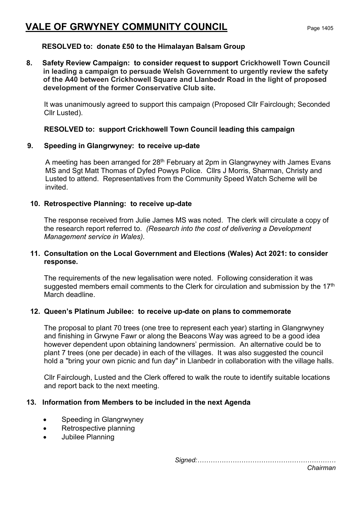## VALE OF GRWYNEY COMMUNITY COUNCIL Page 1405

#### RESOLVED to: donate £50 to the Himalayan Balsam Group

8. Safety Review Campaign: to consider request to support Crickhowell Town Council in leading a campaign to persuade Welsh Government to urgently review the safety of the A40 between Crickhowell Square and Llanbedr Road in the light of proposed development of the former Conservative Club site.

It was unanimously agreed to support this campaign (Proposed Cllr Fairclough; Seconded Cllr Lusted).

#### RESOLVED to: support Crickhowell Town Council leading this campaign

#### 9. Speeding in Glangrwyney: to receive up-date

A meeting has been arranged for 28<sup>th</sup> February at 2pm in Glangrwyney with James Evans MS and Sgt Matt Thomas of Dyfed Powys Police. Cllrs J Morris, Sharman, Christy and Lusted to attend. Representatives from the Community Speed Watch Scheme will be invited.

#### 10. Retrospective Planning: to receive up-date

The response received from Julie James MS was noted. The clerk will circulate a copy of the research report referred to. (Research into the cost of delivering a Development Management service in Wales).

#### 11. Consultation on the Local Government and Elections (Wales) Act 2021: to consider response.

The requirements of the new legalisation were noted. Following consideration it was suggested members email comments to the Clerk for circulation and submission by the  $17<sup>th</sup>$ March deadline.

#### 12. Queen's Platinum Jubilee: to receive up-date on plans to commemorate

The proposal to plant 70 trees (one tree to represent each year) starting in Glangrwyney and finishing in Grwyne Fawr or along the Beacons Way was agreed to be a good idea however dependent upon obtaining landowners' permission. An alternative could be to plant 7 trees (one per decade) in each of the villages. It was also suggested the council hold a "bring your own picnic and fun day" in Llanbedr in collaboration with the village halls.

Cllr Fairclough, Lusted and the Clerk offered to walk the route to identify suitable locations and report back to the next meeting.

#### 13. Information from Members to be included in the next Agenda

- Speeding in Glangrwyney
- Retrospective planning
- Jubilee Planning